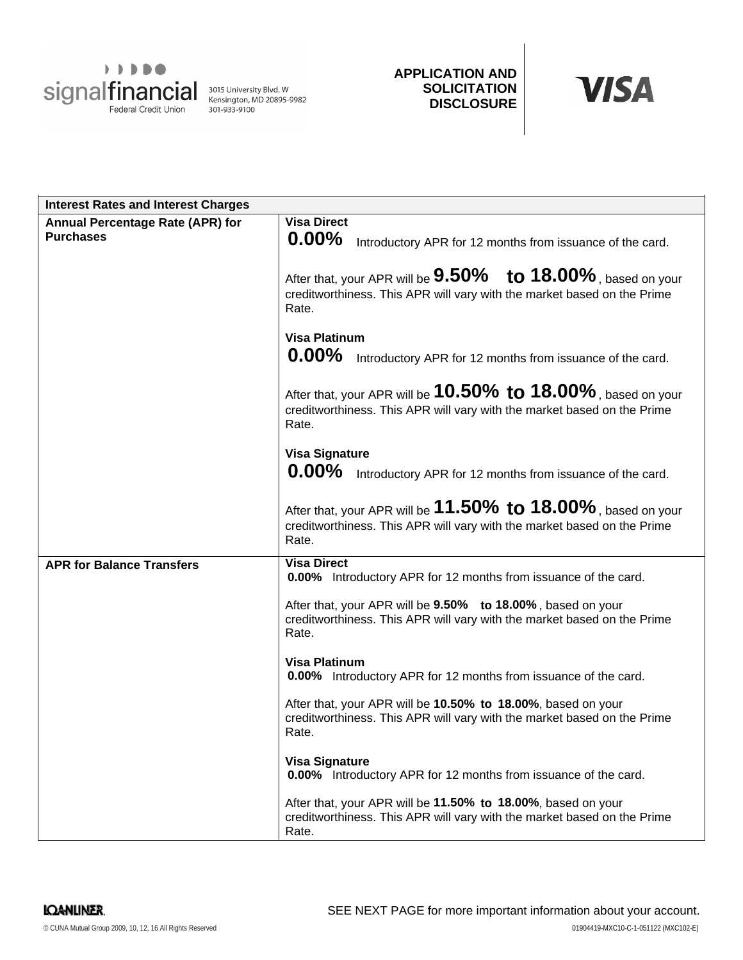

**APPLICATION AND SOLICITATION DISCLOSURE**



| <b>Interest Rates and Interest Charges</b>           |                                                                                                                                                         |
|------------------------------------------------------|---------------------------------------------------------------------------------------------------------------------------------------------------------|
| Annual Percentage Rate (APR) for<br><b>Purchases</b> | <b>Visa Direct</b><br>$0.00\%$<br>Introductory APR for 12 months from issuance of the card.                                                             |
|                                                      | After that, your APR will be $9.50\%$ to $18.00\%$ , based on your<br>creditworthiness. This APR will vary with the market based on the Prime<br>Rate.  |
|                                                      | <b>Visa Platinum</b><br>$0.00\%$<br>Introductory APR for 12 months from issuance of the card.                                                           |
|                                                      | After that, your APR will be $10.50\%$ to $18.00\%$ , based on your<br>creditworthiness. This APR will vary with the market based on the Prime<br>Rate. |
|                                                      | <b>Visa Signature</b><br>$0.00\%$<br>Introductory APR for 12 months from issuance of the card.                                                          |
|                                                      | After that, your APR will be $11.50\%$ to $18.00\%$ , based on your<br>creditworthiness. This APR will vary with the market based on the Prime<br>Rate. |
| <b>APR for Balance Transfers</b>                     | <b>Visa Direct</b><br>0.00% Introductory APR for 12 months from issuance of the card.                                                                   |
|                                                      | After that, your APR will be 9.50% to 18.00%, based on your<br>creditworthiness. This APR will vary with the market based on the Prime<br>Rate.         |
|                                                      | <b>Visa Platinum</b><br>0.00% Introductory APR for 12 months from issuance of the card.                                                                 |
|                                                      | After that, your APR will be 10.50% to 18.00%, based on your<br>creditworthiness. This APR will vary with the market based on the Prime<br>Rate.        |
|                                                      | <b>Visa Signature</b><br>0.00% Introductory APR for 12 months from issuance of the card.                                                                |
|                                                      | After that, your APR will be 11.50% to 18.00%, based on your<br>creditworthiness. This APR will vary with the market based on the Prime<br>Rate.        |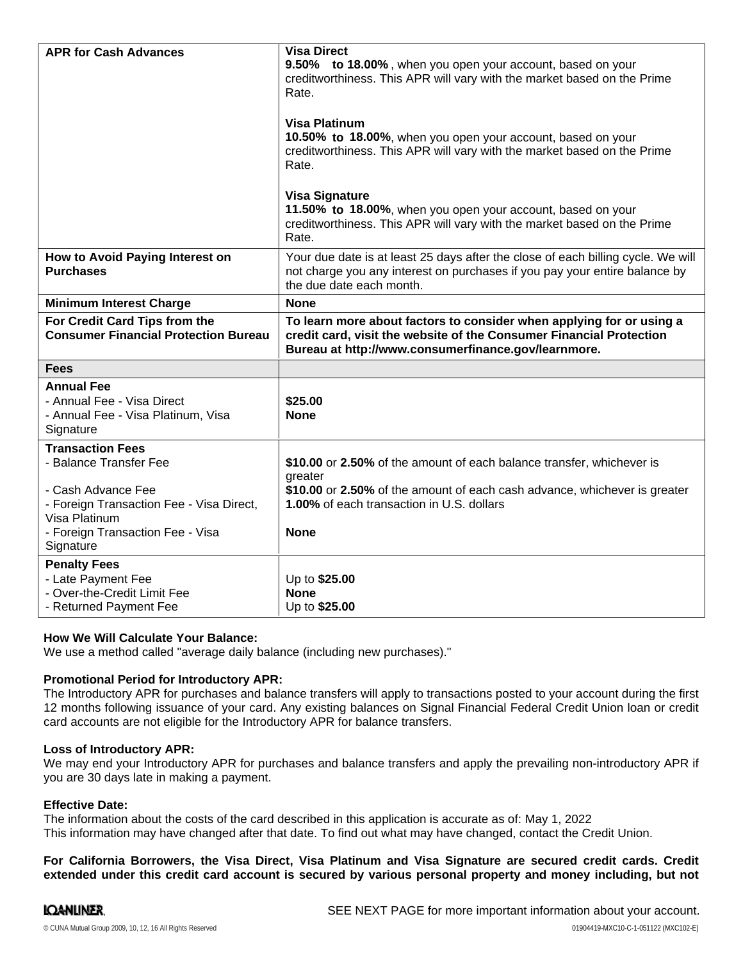| <b>APR for Cash Advances</b>                                                                                                                                                          | <b>Visa Direct</b><br>9.50% to 18.00%, when you open your account, based on your<br>creditworthiness. This APR will vary with the market based on the Prime<br>Rate.<br><b>Visa Platinum</b><br>10.50% to 18.00%, when you open your account, based on your<br>creditworthiness. This APR will vary with the market based on the Prime<br>Rate.<br><b>Visa Signature</b><br>11.50% to 18.00%, when you open your account, based on your<br>creditworthiness. This APR will vary with the market based on the Prime<br>Rate. |
|---------------------------------------------------------------------------------------------------------------------------------------------------------------------------------------|-----------------------------------------------------------------------------------------------------------------------------------------------------------------------------------------------------------------------------------------------------------------------------------------------------------------------------------------------------------------------------------------------------------------------------------------------------------------------------------------------------------------------------|
| How to Avoid Paying Interest on<br><b>Purchases</b>                                                                                                                                   | Your due date is at least 25 days after the close of each billing cycle. We will<br>not charge you any interest on purchases if you pay your entire balance by<br>the due date each month.                                                                                                                                                                                                                                                                                                                                  |
| <b>Minimum Interest Charge</b>                                                                                                                                                        | <b>None</b>                                                                                                                                                                                                                                                                                                                                                                                                                                                                                                                 |
| For Credit Card Tips from the<br><b>Consumer Financial Protection Bureau</b>                                                                                                          | To learn more about factors to consider when applying for or using a<br>credit card, visit the website of the Consumer Financial Protection<br>Bureau at http://www.consumerfinance.gov/learnmore.                                                                                                                                                                                                                                                                                                                          |
| <b>Fees</b>                                                                                                                                                                           |                                                                                                                                                                                                                                                                                                                                                                                                                                                                                                                             |
| <b>Annual Fee</b><br>- Annual Fee - Visa Direct<br>- Annual Fee - Visa Platinum, Visa<br>Signature                                                                                    | \$25.00<br><b>None</b>                                                                                                                                                                                                                                                                                                                                                                                                                                                                                                      |
| <b>Transaction Fees</b><br>- Balance Transfer Fee<br>- Cash Advance Fee<br>- Foreign Transaction Fee - Visa Direct,<br>Visa Platinum<br>- Foreign Transaction Fee - Visa<br>Signature | \$10.00 or 2.50% of the amount of each balance transfer, whichever is<br>greater<br>\$10.00 or 2.50% of the amount of each cash advance, whichever is greater<br>1.00% of each transaction in U.S. dollars<br><b>None</b>                                                                                                                                                                                                                                                                                                   |
| <b>Penalty Fees</b><br>- Late Payment Fee<br>- Over-the-Credit Limit Fee<br>- Returned Payment Fee                                                                                    | Up to \$25.00<br><b>None</b><br>Up to \$25.00                                                                                                                                                                                                                                                                                                                                                                                                                                                                               |

## **How We Will Calculate Your Balance:**

We use a method called "average daily balance (including new purchases)."

### **Promotional Period for Introductory APR:**

The Introductory APR for purchases and balance transfers will apply to transactions posted to your account during the first 12 months following issuance of your card. Any existing balances on Signal Financial Federal Credit Union loan or credit card accounts are not eligible for the Introductory APR for balance transfers.

### **Loss of Introductory APR:**

We may end your Introductory APR for purchases and balance transfers and apply the prevailing non-introductory APR if you are 30 days late in making a payment.

### **Effective Date:**

The information about the costs of the card described in this application is accurate as of: May 1, 2022This information may have changed after that date. To find out what may have changed, contact the Credit Union.

**For California Borrowers, the Visa Direct, Visa Platinum and Visa Signature are secured credit cards. Credit** extended under this credit card account is secured by various personal property and money including, but not